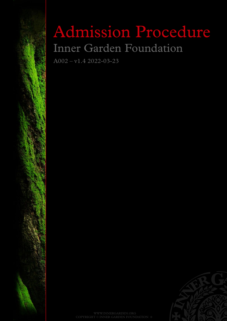

# Admission Procedure Inner Garden Foundation

A002 – v1.4 2022-03-23

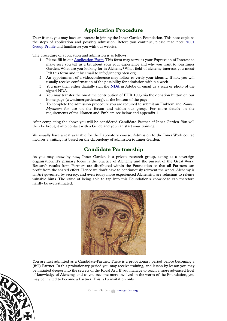## **Application Procedure**

Dear friend, you may have an interest in joining the Inner Garden Foundation. This note explains the steps of application and possibly admission. Before you continue, please read note [A001](https://www.innergarden.org/files/A001.pdf) [Group Profile](https://www.innergarden.org/files/A001.pdf) and familiarize you with our website.

The procedure of application and admission is as follows:

- 1. Please fill in our [Application Form.](https://www.innergarden.org/files/A000.pdf) This form may serve as your Expression of Interest so make sure you tell us a bit about your your experience and why you want to join Inner Garden. What are you looking for in Alchemy? What field of alchemy interests you most? Pdf this form and it by email to info@innergarden.org.
- 2. An appointment of a videoconference may follow to verify your identity. If not, you will usually receive confirmation of the possibility for admission within a week.
- 3. You may then either digitally sign the [NDA](https://www.innergarden.org/files/A003.pdf) in Adobe or email us a scan or photo of the signed NDA.
- 4. You may transfer the one-time contribution of EUR 100,- via the donation button on our home page (www.innergarden.org), at the bottom of the page.
- 5. To complete the admission procedure you are required to submit an Emblem and *Nomen Mysitcum* for use on the forum and within our group. For more details on the requirements of the Nomen and Emblem see below and appendix 1.

After completing the above you will be considered Candidate Partner of Inner Garden. You will then be brought into contact with a Guide and you can start your training.

We usually have a seat available for the Laboratory course. Admission to the Inner Work course involves a waiting list based on the chronology of admission to Inner Garden.

## **Candidate Partnership**

As you may know by now, Inner Garden is a private research group, acting as a sovereign organisation. It's primary focus is the practice of Alchemy and the pursuit of the Great Work. Research results from Partners are distributed within the Foundation so that all Partners can profit from the shared effort. Hence we don't have to continuously reinvent the wheel. Alchemy is an Art governed by secrecy, and even today more experienced Alchemists are reluctant to release valuable hints. The value of being able to tap into this Foundation's knowledge can therefore hardly be overestimated.



You are first admitted as a Candidate-Partner. There is a probationary period before becoming a (full) Partner. In this probationary period you may receive training, and lesson by lesson you may be initiated deeper into the secrets of the Royal Art. If you manage to reach a more advanced level of knowledge of Alchemy, and as you become more involved in the works of the Foundation, you may be invited to become a Partner. This is by invitation only.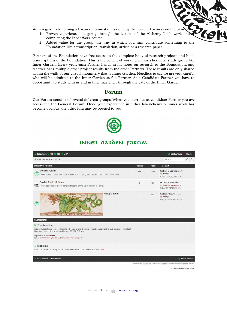With regard to becoming a Partner: nomination is done by the current Partners on the basis

- 1. Proven experience like going through the lessons of the Alchemy I lab work and completing the Inner Work course. ENGLAND
- 2. Added value for the group: the way in which you may contribute something to the Foundation like a transcription, translation, article or a research paper.

Partners of the Foundation have free access to the complete body of research projects and book transcriptions of the Foundation. This is the benefit of working within a hermetic study group like Inner Garden. Every year, each Partner hands in his notes on research to the Foundation, and receives back multiple other project results from the other Partners. These results are only shared within the walls of our virtual monastery that is Inner Garden. Needless to say we are very careful who will be admitted to the Inner Garden as full Partner. As a Candidate-Partner you have to opportunity to study with us and in time may enter through the gate of the Inner Garden.

#### **Forum**

Our Forum consists of several different groups. When you start out as candidate-Partner you ave access the the General Forum. Once your experience in either lab-alchemy or inner work has become obvious, the other fora may be opened to you.



# INNER GAROEN FORUM

| Quick links @ FAQ C ACP A MCP                                                                                                                                                       |               |              | <b>A</b> Notifications                                                            | Moreh -        |
|-------------------------------------------------------------------------------------------------------------------------------------------------------------------------------------|---------------|--------------|-----------------------------------------------------------------------------------|----------------|
| inner Garden < Board index                                                                                                                                                          |               |              | Segrch                                                                            | $Q$ $\Phi$     |
| <b>CANDIDATE FORUM</b>                                                                                                                                                              | <b>Topics</b> | <b>Posts</b> | Last post                                                                         |                |
| <b>General Forum</b><br>≣<br>General forum for discussions or reports, work-in-progress or development of IGF candidates.                                                           | 296           | 2567         | Re: How to use tinctures?<br>by Baal &<br>Fri Oct 02, 2020 8:40 pm                |                |
| Golden Chain of Homer<br>≣<br>Forum dedicated to discussions and reports on the Golden Chain of Homer.                                                                              | 5             | 112          | <b>Re: The GC Operation</b><br>by Horatius D'Omeros E<br>Sat Jul 18, 2020 6:00 pm |                |
| <b>Ripley's Realm</b><br>a Labora e regiones compañecidos providentes mentiones e con en ele pa                                                                                     | 12            | 178          | <b>Re: Ripley Forum access</b><br>by Baal <b>B</b><br>Sun Sep 20, 2020 11:01 pm   |                |
| <b>INFORMATION</b><br>Who is online                                                                                                                                                 |               |              |                                                                                   |                |
| In total there is I user online :: 0 registered, I hidden and 0 guests (based on users active over the past 5 minutes)<br>Most users ever online was 41 on Mon Oct 29, 2018 8:19 am |               |              |                                                                                   |                |
| Registered users: Moreh<br>Legend: Candidates, Partners, Labguides, Innerworkguides                                                                                                 |               |              |                                                                                   |                |
| <b>Infinition</b> Statistics                                                                                                                                                        |               |              |                                                                                   |                |
| Total posts 3498 · Total topics 418 · Total members 63 · Our newest member Cinis                                                                                                    |               |              |                                                                                   |                |
| Inner Garden Board Index                                                                                                                                                            |               |              |                                                                                   | Delete cookies |
|                                                                                                                                                                                     |               |              | Flat Style by lan Bradley . Powered by phpBB® Forum Software © phpBB Limited      |                |
|                                                                                                                                                                                     |               |              | <b>Administration Control Panel</b>                                               |                |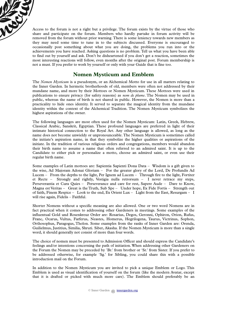

Access to the forum is not a right but a privilege. The forum exists by the virtue of those who share and participate on the forum. Members who hardly partake in forum activity will be removed from the forum without prior warning. There is some leniency towards new members as they may need some time to tune in to the subjects discussed. Everyone is encouraged to occasionally post something about what you are doing, the problems you run into or the achievements you have reached. Asking questions is no problem. Tell us what you have been able to find out by yourself and ask. Don't be disheartened if you don't get a reaction, sometimes the most interesting reactions will follow, even months after the original post. Forum membership is not a must. If you prefer to work by yourself or only with your Guide that is fine too.

## **Nomen Mysticum and Emblem**

The *Nomen Mysticum* is a pseudonym, or an Alchemical Motto for use in all matters relating to the Inner Garden. In hermetic brotherhoods of old, members were often not addressed by their mundane name, and more by their Mottoes or Nomen Mysticum. These Mottoes were used in publications to ensure privacy (for safety reasons) as *nom de plume*. The Nomen may be used in public, whereas the name of birth is not shared in public. However, the Nomen is more than a practicality to hide ones identity. It served to separate the magical identity from the mundane identity within the context of the Alchemical Tradition. The Nomen Mysticum symbolizes the highest aspirations of the owner.

The following languages are most often used for the Nomen Mysticum: Latin, Greek, Hebrew, Classical Arabic, Sanskrit, Egyptian. These profound languages are preferred in light of their intimate historical connection to the Royal Art. Any other language is allowed, as long as the name does not become unwieldy or unpronounceable. The Nomen Mysticum is sometimes called the initiate's aspiration name, in that they symbolize the higher qualities or aspirations of the initiate. In the tradition of various religious orders and congregations, members would abandon their birth name to assume a name that often referred to an admired saint. It is up to the Candidate to either pick or personalize a motto, choose an admired saint, or even use their regular birth name.

Some examples of Latin mottoes are: Sapientia Sapienti Dona Data — Wisdom is a gift given to the wise, Ad Majoram Adonai Gloriam — For the greater glory of the Lord, De Profundis Ad Lucem — From the depths to the light, Per Ignem ad Lucem — Through fire to the light, Fortiter et Recte — Strongly and rightly, Vestigia nulla retrorsum — I never retrace my steps, Perseverantia et Cura Quies — Perseverance and care for rest, Sapere Aude — Dare to Know, Magna est Veritas — Great is the Truth, Sub Spe — Under hope, Ex Fide Fortis — Strength out of faith, Finem Respice — Look to the end, Ex Orient Lux — Light from the East, Resurgam — I will rise again, Fidelis – Faithful.

Shorter Nomens without a specific meaning are also allowed. One or two word Nomens are in fact practical when it comes to addressing other Gardeners in meetings. Some examples of the influentual Gold und Rosenkreuz Order are: Rosarius, Degos, Geronni, Ophiron, Orion, Rufus, Franc, Ocarus, Vultus, Farferus, Neastes, Homerus, Hegrilogena, Taurus, Victrinus, Sophon, Orthosophus, Paragogus, Tholon. Some examples from the ranks of Inner Garden are: Orenda, Guilielmus, Justitius, Similia, Shruti. Siber, Akasha. If the Nomen Mysticum is more than a single word, it should generally not consist of more than four words.

The choice of nomen must be presented to Admission Officer and should express the Candidate's feelings and/or intentions concerning the path of initiation. When addressing other Gardeners on the Forum the Nomen may be preceded by 'Br.' from brother or 'Sr.' from Sister. If you prefer to be addressed otherwise, for example 'Sg.' for Sibling, you could share this with a possible introduction mail on the Forum.

In addition to the Nomen Mysticum you are invited to pick a unique Emblem or Logo. This Emblem is used as visual identification of yourself on the forum (like the modern Avatar, except that it is drafted or picked with much more care). The Emblem should preferably be an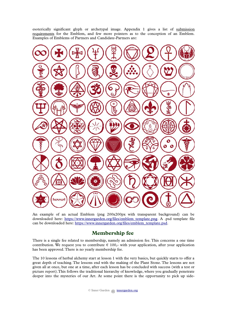esoterically significant glyph or archetypal image. Appendix 1 gives a list of submission requirements for the Emblem, and few more pointers as to the conception of an Emblem. Examples of Emblems of Partners and Candidate-Partners are:



An example of an actual Emblem (png 200x200px with transparent background) can be downloaded here: [https://www.innergarden.org/files/emblem\\_template.png.](https://www.innergarden.org/files/emblem_template.png) A .psd template file can be downloaded here: [https://www.innergarden.org/files/emblem\\_template.psd.](https://www.innergarden.org/files/emblem_template.psd)

## **Membership fee**

There is a single fee related to membership, namely an admission fee. This concerns a one time contribution. We request you to contribute  $\epsilon$  100,- with your application, after your application has been approved. There is no yearly membership fee.

The 10 lessons of herbal alchemy start at lesson 1 with the very basics, but quickly starts to offer a great depth of teaching. The lessons end with the making of the Plant Stone. The lessons are not given all at once, but one at a time, after each lesson has be concluded with success (with a test or picture report).This follows the traditional hierarchy of knowledge, where you gradually penetrate deeper into the mysteries of our Art. At some point there is the opportunity to pick up side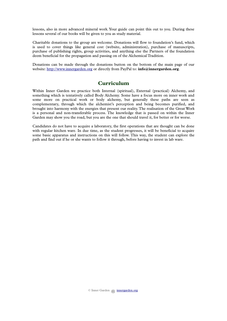lessons, also in more advanced mineral work. Your guide can point this out to you. During these lessons several of our books will be given to you as study material.

Charitable donations to the group are welcome. Donations will flow to foundation's fund, which is used to cover things like general cost (website, administration), purchase of manuscripts, purchase of publishing rights, group activities, and anything else the Partners of the foundation deem beneficial for the propagation and passing on of the Alchemical Tradition.

Donations can be made through the donations button on the bottom of the main page of our website: [http://www.innergarden.org](http://www.innergarden.org/en/donations.html) or directly from PayPal to: **info@innergarden.org**.

### **Curriculum**

Within Inner Garden we practice both Internal (spiritual), External (practical) Alchemy, and something which is tentatively called Body Alchemy. Some have a focus more on inner work and some more on practical work or body alchemy, but generally these paths are seen as complementary, through which the alchemist's perception and being becomes purified, and brought into harmony with the energies that present our reality. The realisation of the Great Work is a personal and non-transferable process. The knowledge that is passed on within the Inner Garden may show you the road, but you are the one that should travel it, for better or for worse.

Candidates do not have to acquire a laboratory, the first operations that are thought can be done with regular kitchen ware. In due time, as the student progresses, it will be beneficial to acquire some basic apparatus and instructions on this will follow. This way, the student can explore the path and find out if he or she wants to follow it through, before having to invest in lab ware.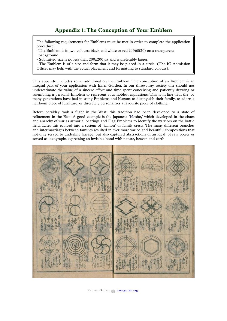## **Appendix 1: The Conception of Your Emblem**

The following requirements for Emblems must be met in order to complete the application procedure:

- The Emblem is in two colours: black and white or red (#960f20) on a transparent background.
- Submitted size is no less than 200x200 px and is preferably larger.
- The Emblem is of a size and form that it may be placed in a circle. (The IG Admission
- Officer may help with the actual placement and formatting to standard colours).

This appendix includes some additional on the Emblem. The conception of an Emblem is an integral part of your application with Inner Garden. In our throwaway society one should not underestimate the value of a sincere effort and time spent conceiving and patiently drawing or assembling a personal Emblem to represent your noblest aspirations. This is in line with the joy many generations have had in using Emblems and blazons to distinguish their family, to adorn a heirloom piece of furniture, or discretely personalizes a favourite piece of clothing.

Before heraldry took a flight in the West, this tradition had been developed to a state of refinement in the East. A good example is the Japanese 'Mosho,' which developed in the chaos and anarchy of war as armorial bearings and Flag Emblems to identify the warriors on the battle field. Later this evolved into a system of 'kamon' or family crests. The many different branches and intermarriages between families resulted in ever more varied and beautiful compositions that not only served to underline lineage, but also captured abstractions of an ideal, of raw power or served as ideographs expressing an invisible bond with nature, heaven and earth.



© Inner Garden (<sub>inn</sub>ergarden.org)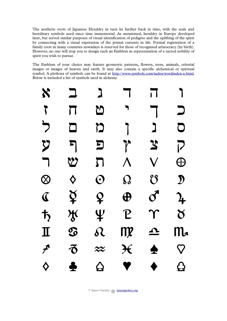The aesthetic roots of Japanese Heraldry in turn lie further back in time, with the seals and hereditary symbols used since time immemorial. As mentioned, heraldry in Europe developed later, but served similar purposes of visual identification of pedigree and the uplifting of the spirit by connecting with a visual expression of the primal currents in life. Formal registration of a family crest in many countries nowadays is reserved for those of recognized aristocracy (by birth). However, no one will stop you to design such an Emblem as representation of a sacred nobility of spirit you wish to pursue.

The Emblem of your choice may feature geometric patterns, flowers, trees, animals, celestial images or images of heaven and earth. It may also contain a specific alchemical or spiritual symbol. A plethora of symbols can be found at [http://www.symbols.com/index/wordindex-a.html.](http://www.symbols.com/index/wordindex-a.html) Below is included a list of symbols used in alchemy.

| $\aleph$                   | $\Box$             | $\sum_{i=1}^{n}$      | J                                | $\overline{\overline{1}}$      | $\begin{array}{c} \n\end{array}$  |
|----------------------------|--------------------|-----------------------|----------------------------------|--------------------------------|-----------------------------------|
| 「<br>フ                     | $\overline{\Pi}$   | <u>مع</u>             | $\blacktriangledown$             | $\overline{\mathcal{L}}$       | $\begin{array}{c} \n \end{array}$ |
|                            | $\Box$             | 2                     | $\begin{array}{c} \n\end{array}$ | $\begin{array}{c} \end{array}$ | $\overline{C}$                    |
| $\boldsymbol{\mathcal{Y}}$ | $\mathbf{F}$       | $\blacksquare$        | $\gamma$                         | $\boldsymbol{\mathcal{Z}}$     | $\overline{V}$                    |
| $\bigcap$                  | <u>2)</u>          | $\sum$                | $\boldsymbol{\bigwedge}$         | $\checkmark$                   | $\bigoplus$                       |
| $\bigotimes$               | $\Diamond$         | $\bigodot$            | $\Omega$                         | $\mathbf{C}$                   | $\mathbf{D}$                      |
| $\mathbf C$                | $\breve{\varphi}$  | $\mathbf{\varphi}$    | $\bigoplus$                      | $\boldsymbol{\delta}$          |                                   |
|                            |                    | $\overline{\Psi}$     | $\overline{P}$                   | $\Upsilon$                     | $\frac{4}{8}$                     |
| ち<br>Ⅱ                     | 100X               | $\boldsymbol{\Omega}$ | $\mathbf{m}$                     | $\Delta$                       | $m_{\lambda}$                     |
| $\overline{r}$             | $\vec{\mathbf{O}}$ | $\approx$             | $\mathcal{H}$                    | $\blacklozenge$                | $\boldsymbol{\nabla}$             |
| ♦                          | $\clubsuit$        | $\Delta$              | $\blacktriangledown$             | $\blacklozenge$                | $\Delta$                          |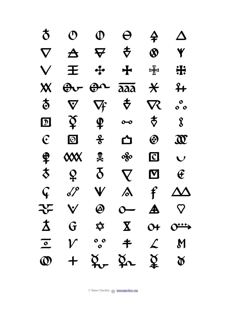$\delta$  0 0  $\theta$   $\theta$   $\Delta$ V A F & & Y V 王 チ キ キ 栄  $X$   $\Theta$   $\Theta$   $\overline{aa}$   $X$   $\theta$   $\boxed{2}$   $\boxed{2}$   $\boxed{4}$   $\boxed{0}$   $\boxed{5}$   $\boxed{8}$  $C$   $\odot$   $\stackrel{2}{\sigma}$   $\stackrel{3}{\sigma}$   $\stackrel{3}{\sigma}$   $\stackrel{3}{\sigma}$ 单 WXX 奥 咯 回 U  $\begin{array}{ccccccccc}\n\mathbf{\mathcal{J}} & \mathbf{\mathcal{Q}} & \mathbf{\mathcal{J}} & \nabla & \mathbf{\mathcal{Q}} & \mathbf{\mathcal{E}}\n\end{array}$  $G$  of  $V$   $A$   $f$   $\Delta\!\Delta$  $\begin{picture}(160,170) \put(0,0){\vector(1,0){100}} \put(150,0){\vector(1,0){100}} \put(150,0){\vector(1,0){100}} \put(150,0){\vector(1,0){100}} \put(150,0){\vector(1,0){100}} \put(150,0){\vector(1,0){100}} \put(150,0){\vector(1,0){100}} \put(150,0){\vector(1,0){100}} \put(150,0){\vector(1,0){100}} \put(150,0){\vector(1,0){100}} \put(150,0){$  $\Delta$   $G$   $\Rightarrow$   $X$   $\circ$   $\circ$   $\cdots$  $\overline{c}$   $V$   $\circ \circ$   $\overline{c}$   $\overline{C}$   $M$  $\omega + \Sigma_{\nu} \Sigma_{\nu} \Sigma_{\nu} \Sigma_{\nu}$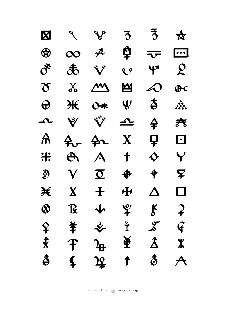$\boxtimes$  (  $\sqrt{6}$   $\sqrt{3}$   $\frac{3}{5}$   $\frac{1}{\sqrt{3}}$ **֎ ∞** ≁ † <del>↓</del> <u>↓</u>  $\vec{\sigma}$   $\vec{\sigma}$   $\vec{v}$   $\vec{v}$   $\vec{p}$   $2$  $\delta$  &  $\Delta$   $\cong$   $\infty$  or **● 米 0\* Ψ る 蕊**  $\sim$   $\sqrt[6]{}$   $\frac{1}{\sqrt{2}}$   $\frac{1}{\sqrt{6}}$   $\frac{1}{\sqrt{6}}$  $A \leftarrow A$   $C$   $X$   $D$   $D$  $\#$   $\Theta$   $\Lambda$   $\uparrow$   $\lozenge$   $\forall$  $\mathcal{D}$   $V$   $\overline{\Omega}$   $\Phi$   $\phi$   $\overline{\Upsilon}$  $\begin{array}{ccccccccccccccccc}\n\ast & \times & \times & \div & \div & \Delta & \Box\end{array}$ 8 R v Y K 7  $\begin{array}{ccccccccccccccccc} \hat{\mathbf{Y}} & \hat{\mathbf{Y}} & \hat{\mathbf{Y}} & \hat{\mathbf{Y}} & \hat{\mathbf{Y}} & \hat{\mathbf{Y}} & \hat{\mathbf{Y}} & \hat{\mathbf{Y}} & \hat{\mathbf{Y}} & \hat{\mathbf{Y}} & \hat{\mathbf{Y}} & \hat{\mathbf{Y}} & \hat{\mathbf{Y}} & \hat{\mathbf{Y}} & \hat{\mathbf{Y}} & \hat{\mathbf{Y}} & \hat{\mathbf{Y}} & \hat{\mathbf{Y}} & \hat{\mathbf{Y}} & \hat{\mathbf{Y}} & \hat{\mathbf{Y}} & \hat{\mathbf{Y}} & \hat{\mathbf{Y}} & \hat$  $\textbf{\textit{X}}$   $\textbf{\textit{Y}}$   $\textbf{\textit{Y}}$   $\textbf{\textit{Y}}$   $\textbf{\textit{Y}}$   $\textbf{\textit{Y}}$  $3 \leftarrow 12 + 3 \leftarrow 1$